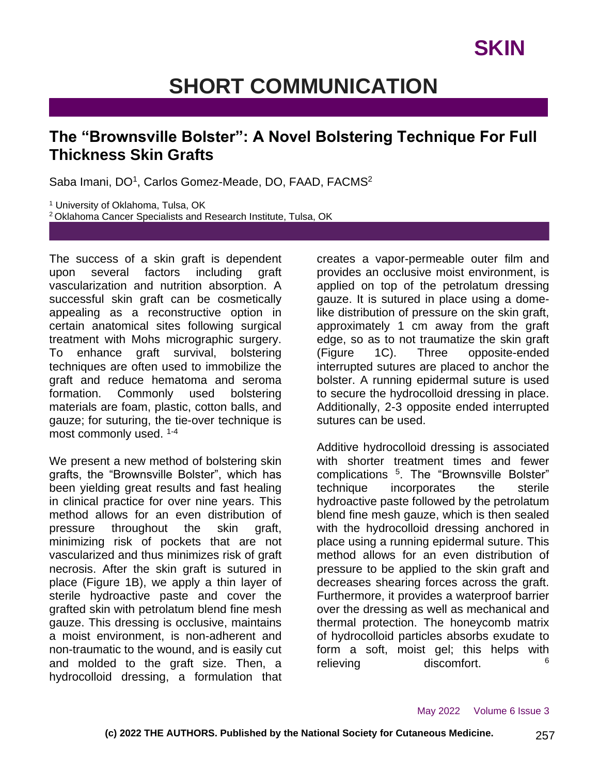# **SHORT COMMUNICATION**

#### **The "Brownsville Bolster": A Novel Bolstering Technique For Full Thickness Skin Grafts**

Saba Imani, DO<sup>1</sup>, Carlos Gomez-Meade, DO, FAAD, FACMS<sup>2</sup>

<sup>1</sup> University of Oklahoma, Tulsa, OK <sup>2</sup> Oklahoma Cancer Specialists and Research Institute, Tulsa, OK

The success of a skin graft is dependent upon several factors including graft vascularization and nutrition absorption. A successful skin graft can be cosmetically appealing as a reconstructive option in certain anatomical sites following surgical treatment with Mohs micrographic surgery. To enhance graft survival, bolstering techniques are often used to immobilize the graft and reduce hematoma and seroma formation. Commonly used bolstering materials are foam, plastic, cotton balls, and gauze; for suturing, the tie-over technique is most commonly used. 1-4

We present a new method of bolstering skin grafts, the "Brownsville Bolster", which has been yielding great results and fast healing in clinical practice for over nine years. This method allows for an even distribution of pressure throughout the skin graft. minimizing risk of pockets that are not vascularized and thus minimizes risk of graft necrosis. After the skin graft is sutured in place (Figure 1B), we apply a thin layer of sterile hydroactive paste and cover the grafted skin with petrolatum blend fine mesh gauze. This dressing is occlusive, maintains a moist environment, is non-adherent and non-traumatic to the wound, and is easily cut and molded to the graft size. Then, a hydrocolloid dressing, a formulation that

creates a vapor-permeable outer film and provides an occlusive moist environment, is applied on top of the petrolatum dressing gauze. It is sutured in place using a domelike distribution of pressure on the skin graft, approximately 1 cm away from the graft edge, so as to not traumatize the skin graft (Figure 1C). Three opposite-ended interrupted sutures are placed to anchor the bolster. A running epidermal suture is used to secure the hydrocolloid dressing in place. Additionally, 2-3 opposite ended interrupted sutures can be used.

Additive hydrocolloid dressing is associated with shorter treatment times and fewer complications <sup>5</sup> . The "Brownsville Bolster" technique incorporates the sterile hydroactive paste followed by the petrolatum blend fine mesh gauze, which is then sealed with the hydrocolloid dressing anchored in place using a running epidermal suture. This method allows for an even distribution of pressure to be applied to the skin graft and decreases shearing forces across the graft. Furthermore, it provides a waterproof barrier over the dressing as well as mechanical and thermal protection. The honeycomb matrix of hydrocolloid particles absorbs exudate to form a soft, moist gel; this helps with relieving discomfort. 6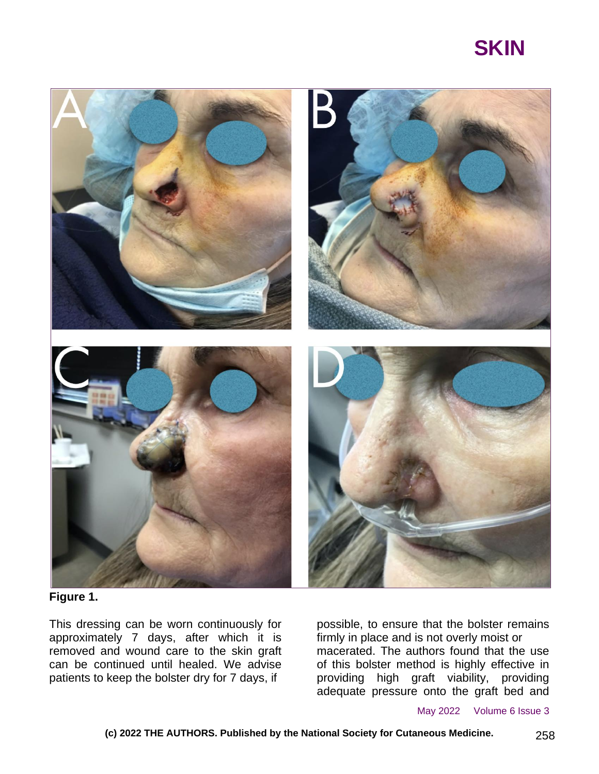## **SKIN**



**Figure 1.**

This dressing can be worn continuously for approximately 7 days, after which it is removed and wound care to the skin graft can be continued until healed. We advise patients to keep the bolster dry for 7 days, if

possible, to ensure that the bolster remains firmly in place and is not overly moist or macerated. The authors found that the use of this bolster method is highly effective in providing high graft viability, providing adequate pressure onto the graft bed and

May 2022 Volume 6 Issue 3